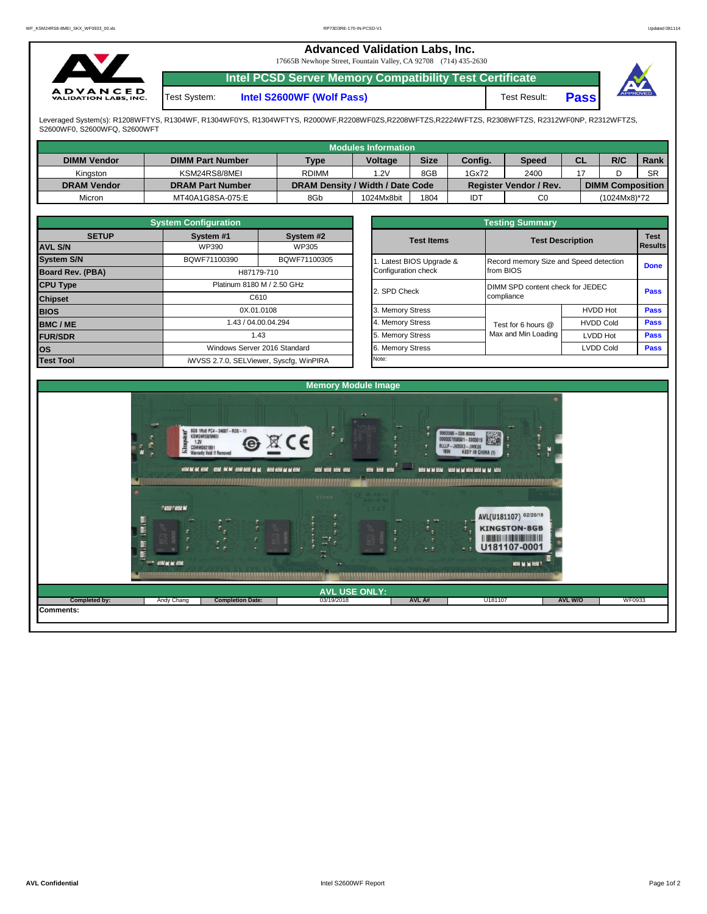| $\mathbf{v}$                                    |              | <b>Advanced Validation Labs, Inc.</b><br>17665B Newhope Street, Fountain Valley, CA 92708 (714) 435-2630 |              |             |          |
|-------------------------------------------------|--------------|----------------------------------------------------------------------------------------------------------|--------------|-------------|----------|
|                                                 |              | Intel PCSD Server Memory Compatibility Test Certificate                                                  |              |             |          |
| <b>ADVANCED</b><br><b>VALIDATION LABS, INC.</b> | Test System: | Intel S2600WF (Wolf Pass)                                                                                | Test Result: | <b>Pass</b> | APPROVED |

Leveraged System(s): R1208WFTYS, R1304WF, R1304WF0YS, R1304WFTYS, R2000WF,R2208WF0ZS,R2208WFTZS,R2224WFTZS, R2308WFTZS, R2312WF0NP, R2312WFTZS,<br>S2600WF0, S2600WFQ, S2600WFT

|                    |                         |                                  | Modules Information                          |      |         |                               |  |                         |           |
|--------------------|-------------------------|----------------------------------|----------------------------------------------|------|---------|-------------------------------|--|-------------------------|-----------|
| <b>DIMM Vendor</b> | <b>DIMM Part Number</b> |                                  | <b>Size</b><br><b>Voltage</b><br><b>Type</b> |      | Config. | <b>CL</b><br><b>Speed</b>     |  | R/C                     | Rank      |
| Kinaston           | KSM24RS8/8MEI           | <b>RDIMM</b>                     | 1.2V                                         | 8GB  | 1Gx72   | 2400                          |  |                         | <b>SR</b> |
| <b>DRAM Vendor</b> | <b>DRAM Part Number</b> | DRAM Density / Width / Date Code |                                              |      |         | <b>Register Vendor / Rev.</b> |  | <b>DIMM Composition</b> |           |
| Micron             | MT40A1G8SA-075:E        | 8Gb                              | 1024Mx8bit                                   | 1804 | דסו     | C <sub>0</sub>                |  | (1024Mx8)*72            |           |

|                   | <b>System Configuration</b> |                                         |                       | <b>Testing Summary</b>                 |                  |             |  |
|-------------------|-----------------------------|-----------------------------------------|-----------------------|----------------------------------------|------------------|-------------|--|
| <b>SETUP</b>      | System #1                   | System #2                               | <b>Test Items</b>     | <b>Test Description</b>                |                  | <b>Test</b> |  |
| <b>AVL S/N</b>    | <b>WP390</b>                | WP305                                   |                       |                                        | Results          |             |  |
| <b>System S/N</b> | BQWF71100390                | BQWF71100305                            | Latest BIOS Upgrade & | Record memory Size and Speed detection |                  | <b>Done</b> |  |
| Board Rev. (PBA)  |                             | H87179-710                              | Configuration check   | from BIOS                              |                  |             |  |
| <b>CPU Type</b>   |                             | Platinum 8180 M / 2.50 GHz              | 2. SPD Check          | DIMM SPD content check for JEDEC       |                  | <b>Pass</b> |  |
| <b>Chipset</b>    |                             | C610                                    |                       | compliance                             |                  |             |  |
| <b>BIOS</b>       |                             | 0X.01.0108                              | 3. Memory Stress      |                                        | <b>HVDD Hot</b>  | <b>Pass</b> |  |
| <b>BMC/ME</b>     |                             | 1.43 / 04.00.04.294                     | 4. Memory Stress      | Test for 6 hours @                     | <b>HVDD Cold</b> | <b>Pass</b> |  |
| <b>FUR/SDR</b>    |                             | 1.43                                    | 5. Memory Stress      | Max and Min Loading                    | LVDD Hot         | Pass        |  |
| los               |                             | Windows Server 2016 Standard            | 6. Memory Stress      |                                        | <b>LVDD Cold</b> | Pass        |  |
| <b>Test Tool</b>  |                             | iWVSS 2.7.0, SELViewer, Syscfq, WinPIRA | Note:                 |                                        |                  |             |  |

|              | <b>System Configuration</b> |                                    |                       | <b>Testing Summary</b>                 |                  |                |  |  |  |
|--------------|-----------------------------|------------------------------------|-----------------------|----------------------------------------|------------------|----------------|--|--|--|
| <b>SETUP</b> | System #1                   | System #2                          | <b>Test Items</b>     | <b>Test Description</b>                |                  |                |  |  |  |
|              | WP390                       | WP305                              |                       |                                        |                  | <b>Results</b> |  |  |  |
|              | BQWF71100390                | BQWF71100305                       | Latest BIOS Upgrade & | Record memory Size and Speed detection |                  |                |  |  |  |
| PBA)         | H87179-710                  |                                    | Configuration check   | from BIOS                              | <b>Done</b>      |                |  |  |  |
|              |                             | Platinum 8180 M / 2.50 GHz         |                       | DIMM SPD content check for JEDEC       |                  | Pass           |  |  |  |
|              |                             | C610                               | 2. SPD Check          | compliance                             |                  |                |  |  |  |
|              |                             | 0X.01.0108                         | 3. Memory Stress      |                                        | <b>HVDD Hot</b>  | Pass           |  |  |  |
|              |                             | 1.43 / 04.00.04.294                | 4. Memory Stress      | Test for 6 hours @                     | <b>HVDD Cold</b> | Pass           |  |  |  |
|              |                             | 1.43                               | 5. Memory Stress      | Max and Min Loading                    | LVDD Hot         | Pass           |  |  |  |
|              |                             | Windows Server 2016 Standard       | 6. Memory Stress      |                                        | <b>LVDD Cold</b> | <b>Pass</b>    |  |  |  |
|              |                             | iMVSS 270 SELViewer Svecta WinPIRA | Note:                 |                                        |                  |                |  |  |  |